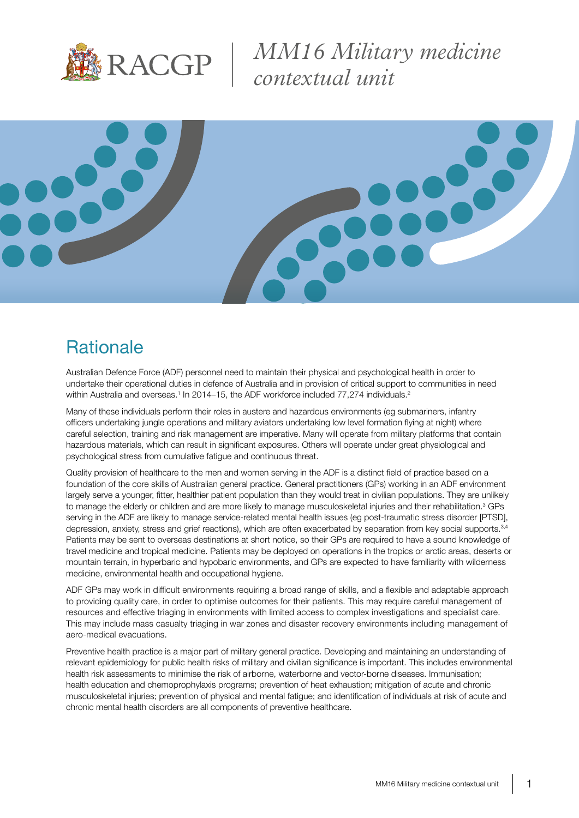

*MM16 Military medicine contextual unit*



### **Rationale**

Australian Defence Force (ADF) personnel need to maintain their physical and psychological health in order to undertake their operational duties in defence of Australia and in provision of critical support to communities in need within Australia and overseas.<sup>1</sup> In 2014–15, the ADF workforce included 77,274 individuals.<sup>2</sup>

Many of these individuals perform their roles in austere and hazardous environments (eg submariners, infantry officers undertaking jungle operations and military aviators undertaking low level formation flying at night) where careful selection, training and risk management are imperative. Many will operate from military platforms that contain hazardous materials, which can result in significant exposures. Others will operate under great physiological and psychological stress from cumulative fatigue and continuous threat.

Quality provision of healthcare to the men and women serving in the ADF is a distinct field of practice based on a foundation of the core skills of Australian general practice. General practitioners (GPs) working in an ADF environment largely serve a younger, fitter, healthier patient population than they would treat in civilian populations. They are unlikely to manage the elderly or children and are more likely to manage musculoskeletal injuries and their rehabilitation.<sup>3</sup> GPs serving in the ADF are likely to manage service-related mental health issues (eg post-traumatic stress disorder [PTSD], depression, anxiety, stress and grief reactions), which are often exacerbated by separation from key social supports.<sup>3,4</sup> Patients may be sent to overseas destinations at short notice, so their GPs are required to have a sound knowledge of travel medicine and tropical medicine. Patients may be deployed on operations in the tropics or arctic areas, deserts or mountain terrain, in hyperbaric and hypobaric environments, and GPs are expected to have familiarity with wilderness medicine, environmental health and occupational hygiene.

ADF GPs may work in difficult environments requiring a broad range of skills, and a flexible and adaptable approach to providing quality care, in order to optimise outcomes for their patients. This may require careful management of resources and effective triaging in environments with limited access to complex investigations and specialist care. This may include mass casualty triaging in war zones and disaster recovery environments including management of aero-medical evacuations.

Preventive health practice is a major part of military general practice. Developing and maintaining an understanding of relevant epidemiology for public health risks of military and civilian significance is important. This includes environmental health risk assessments to minimise the risk of airborne, waterborne and vector-borne diseases. Immunisation; health education and chemoprophylaxis programs; prevention of heat exhaustion; mitigation of acute and chronic musculoskeletal injuries; prevention of physical and mental fatigue; and identification of individuals at risk of acute and chronic mental health disorders are all components of preventive healthcare.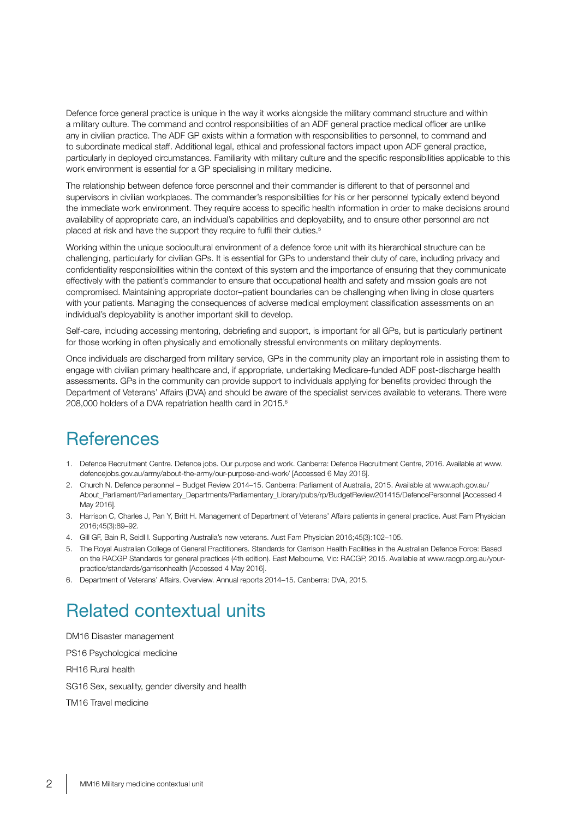Defence force general practice is unique in the way it works alongside the military command structure and within a military culture. The command and control responsibilities of an ADF general practice medical officer are unlike any in civilian practice. The ADF GP exists within a formation with responsibilities to personnel, to command and to subordinate medical staff. Additional legal, ethical and professional factors impact upon ADF general practice, particularly in deployed circumstances. Familiarity with military culture and the specific responsibilities applicable to this work environment is essential for a GP specialising in military medicine.

The relationship between defence force personnel and their commander is different to that of personnel and supervisors in civilian workplaces. The commander's responsibilities for his or her personnel typically extend beyond the immediate work environment. They require access to specific health information in order to make decisions around availability of appropriate care, an individual's capabilities and deployability, and to ensure other personnel are not placed at risk and have the support they require to fulfil their duties.<sup>5</sup>

Working within the unique sociocultural environment of a defence force unit with its hierarchical structure can be challenging, particularly for civilian GPs. It is essential for GPs to understand their duty of care, including privacy and confidentiality responsibilities within the context of this system and the importance of ensuring that they communicate effectively with the patient's commander to ensure that occupational health and safety and mission goals are not compromised. Maintaining appropriate doctor–patient boundaries can be challenging when living in close quarters with your patients. Managing the consequences of adverse medical employment classification assessments on an individual's deployability is another important skill to develop.

Self-care, including accessing mentoring, debriefing and support, is important for all GPs, but is particularly pertinent for those working in often physically and emotionally stressful environments on military deployments.

Once individuals are discharged from military service, GPs in the community play an important role in assisting them to engage with civilian primary healthcare and, if appropriate, undertaking Medicare-funded ADF post-discharge health assessments. GPs in the community can provide support to individuals applying for benefits provided through the Department of Veterans' Affairs (DVA) and should be aware of the specialist services available to veterans. There were 208,000 holders of a DVA repatriation health card in 2015.<sup>6</sup>

### **References**

- 1. Defence Recruitment Centre. Defence jobs. Our purpose and work. Canberra: Defence Recruitment Centre, 2016. Available at www. defencejobs.gov.au/army/about-the-army/our-purpose-and-work/ [Accessed 6 May 2016].
- 2. Church N. Defence personnel Budget Review 2014–15. Canberra: Parliament of Australia, 2015. Available at www.aph.gov.au/ About\_Parliament/Parliamentary\_Departments/Parliamentary\_Library/pubs/rp/BudgetReview201415/DefencePersonnel [Accessed 4 May 2016].
- 3. Harrison C, Charles J, Pan Y, Britt H. Management of Department of Veterans' Affairs patients in general practice. Aust Fam Physician 2016;45(3):89–92.
- 4. Gill GF, Bain R, Seidl I. Supporting Australia's new veterans. Aust Fam Physician 2016;45(3):102–105.
- 5. The Royal Australian College of General Practitioners. Standards for Garrison Health Facilities in the Australian Defence Force: Based on the RACGP Standards for general practices (4th edition). East Melbourne, Vic: RACGP, 2015. Available at www.racgp.org.au/yourpractice/standards/garrisonhealth [Accessed 4 May 2016].
- 6. Department of Veterans' Affairs. Overview. Annual reports 2014–15. Canberra: DVA, 2015.

# Related contextual units

DM16 Disaster management PS16 Psychological medicine RH16 Rural health SG16 Sex, sexuality, gender diversity and health TM16 Travel medicine